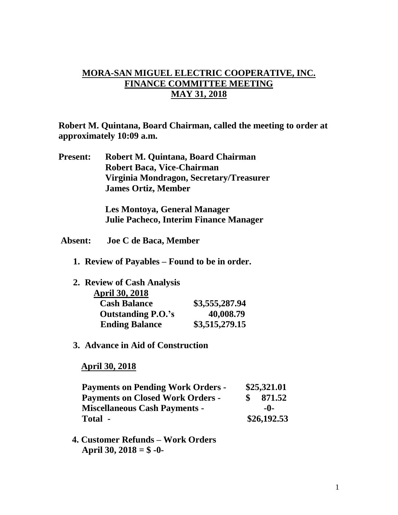## **MORA-SAN MIGUEL ELECTRIC COOPERATIVE, INC. FINANCE COMMITTEE MEETING MAY 31, 2018**

**Robert M. Quintana, Board Chairman, called the meeting to order at approximately 10:09 a.m.**

**Present: Robert M. Quintana, Board Chairman Robert Baca, Vice-Chairman Virginia Mondragon, Secretary/Treasurer James Ortiz, Member**

> **Les Montoya, General Manager Julie Pacheco, Interim Finance Manager**

- **Absent: Joe C de Baca, Member**
	- **1. Review of Payables – Found to be in order.**

| 2. Review of Cash Analysis |                |
|----------------------------|----------------|
| <b>April 30, 2018</b>      |                |
| <b>Cash Balance</b>        | \$3,555,287.94 |
| <b>Outstanding P.O.'s</b>  | 40,008.79      |
| <b>Ending Balance</b>      | \$3,515,279.15 |

**3. Advance in Aid of Construction**

 **April 30, 2018**

| <b>Payments on Pending Work Orders -</b> |     | \$25,321.01 |  |
|------------------------------------------|-----|-------------|--|
| <b>Payments on Closed Work Orders -</b>  | SS. | 871.52      |  |
| <b>Miscellaneous Cash Payments -</b>     |     | -0-         |  |
| Total -                                  |     | \$26,192.53 |  |

 **4. Customer Refunds – Work Orders April 30, 2018 = \$ -0-**